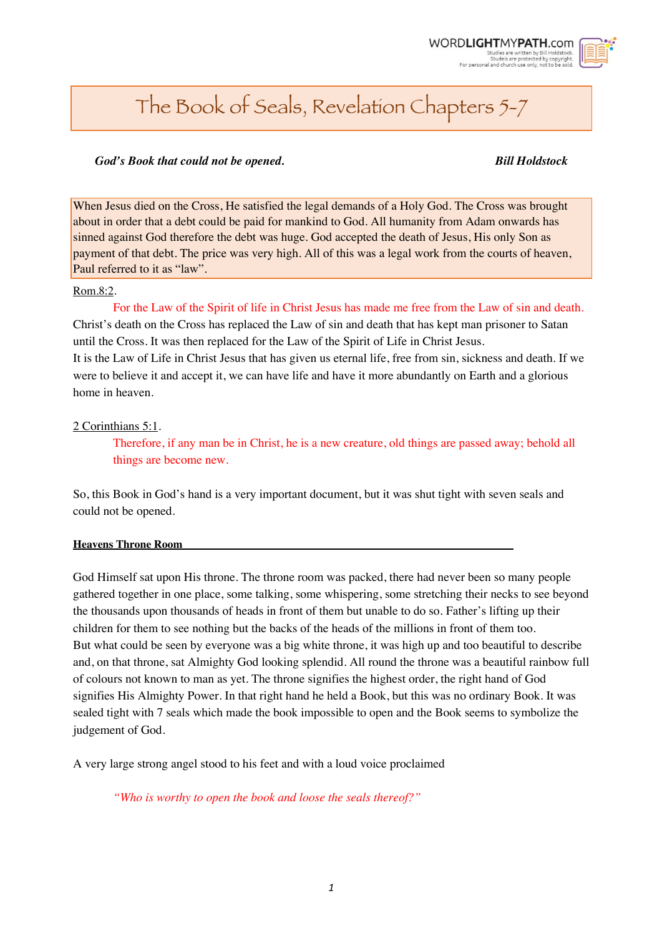*1*



# The Book of Seals, Revelation Chapters 5-7

# *God's Book that could not be opened. Bill Holdstock*

When Jesus died on the Cross, He satisfied the legal demands of a Holy God. The Cross was brought about in order that a debt could be paid for mankind to God. All humanity from Adam onwards has sinned against God therefore the debt was huge. God accepted the death of Jesus, His only Son as payment of that debt. The price was very high. All of this was a legal work from the courts of heaven, Paul referred to it as "law".

# Rom.8:2.

For the Law of the Spirit of life in Christ Jesus has made me free from the Law of sin and death. Christ's death on the Cross has replaced the Law of sin and death that has kept man prisoner to Satan until the Cross. It was then replaced for the Law of the Spirit of Life in Christ Jesus. It is the Law of Life in Christ Jesus that has given us eternal life, free from sin, sickness and death. If we were to believe it and accept it, we can have life and have it more abundantly on Earth and a glorious home in heaven.

# 2 Corinthians 5:1.

Therefore, if any man be in Christ, he is a new creature, old things are passed away; behold all things are become new.

So, this Book in God's hand is a very important document, but it was shut tight with seven seals and could not be opened.

# **Heavens Throne Room**

God Himself sat upon His throne. The throne room was packed, there had never been so many people gathered together in one place, some talking, some whispering, some stretching their necks to see beyond the thousands upon thousands of heads in front of them but unable to do so. Father's lifting up their children for them to see nothing but the backs of the heads of the millions in front of them too. But what could be seen by everyone was a big white throne, it was high up and too beautiful to describe and, on that throne, sat Almighty God looking splendid. All round the throne was a beautiful rainbow full of colours not known to man as yet. The throne signifies the highest order, the right hand of God signifies His Almighty Power. In that right hand he held a Book, but this was no ordinary Book. It was sealed tight with 7 seals which made the book impossible to open and the Book seems to symbolize the judgement of God.

A very large strong angel stood to his feet and with a loud voice proclaimed

*"Who is worthy to open the book and loose the seals thereof?"*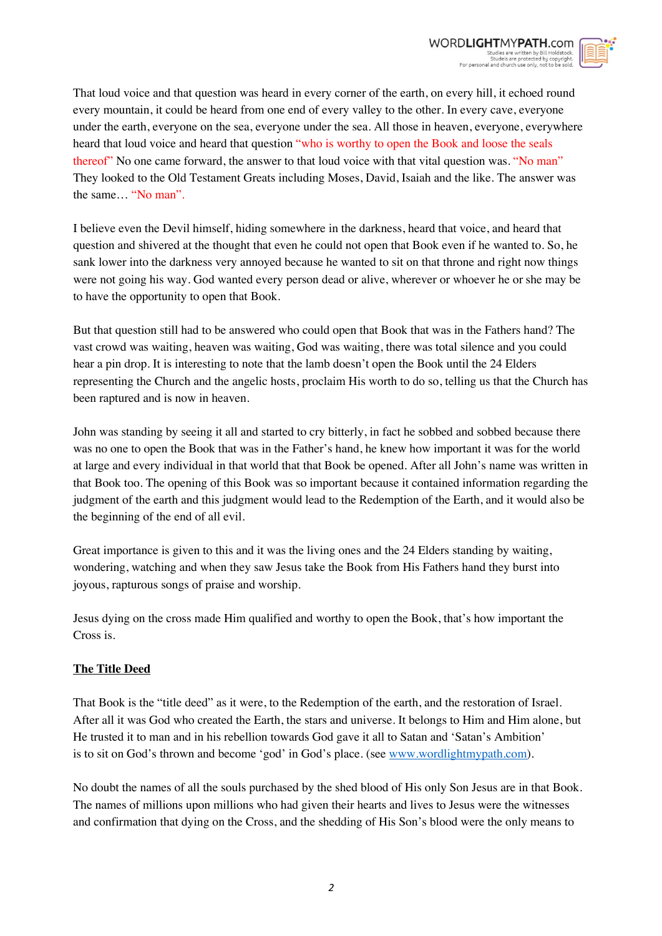

That loud voice and that question was heard in every corner of the earth, on every hill, it echoed round every mountain, it could be heard from one end of every valley to the other. In every cave, everyone under the earth, everyone on the sea, everyone under the sea. All those in heaven, everyone, everywhere heard that loud voice and heard that question "who is worthy to open the Book and loose the seals thereof" No one came forward, the answer to that loud voice with that vital question was. "No man" They looked to the Old Testament Greats including Moses, David, Isaiah and the like. The answer was the same… "No man".

I believe even the Devil himself, hiding somewhere in the darkness, heard that voice, and heard that question and shivered at the thought that even he could not open that Book even if he wanted to. So, he sank lower into the darkness very annoyed because he wanted to sit on that throne and right now things were not going his way. God wanted every person dead or alive, wherever or whoever he or she may be to have the opportunity to open that Book.

But that question still had to be answered who could open that Book that was in the Fathers hand? The vast crowd was waiting, heaven was waiting, God was waiting, there was total silence and you could hear a pin drop. It is interesting to note that the lamb doesn't open the Book until the 24 Elders representing the Church and the angelic hosts, proclaim His worth to do so, telling us that the Church has been raptured and is now in heaven.

John was standing by seeing it all and started to cry bitterly, in fact he sobbed and sobbed because there was no one to open the Book that was in the Father's hand, he knew how important it was for the world at large and every individual in that world that that Book be opened. After all John's name was written in that Book too. The opening of this Book was so important because it contained information regarding the judgment of the earth and this judgment would lead to the Redemption of the Earth, and it would also be the beginning of the end of all evil.

Great importance is given to this and it was the living ones and the 24 Elders standing by waiting, wondering, watching and when they saw Jesus take the Book from His Fathers hand they burst into joyous, rapturous songs of praise and worship.

Jesus dying on the cross made Him qualified and worthy to open the Book, that's how important the Cross is.

# **The Title Deed**

That Book is the "title deed" as it were, to the Redemption of the earth, and the restoration of Israel. After all it was God who created the Earth, the stars and universe. It belongs to Him and Him alone, but He trusted it to man and in his rebellion towards God gave it all to Satan and 'Satan's Ambition' is to sit on God's thrown and become 'god' in God's place. (see www.wordlightmypath.com).

No doubt the names of all the souls purchased by the shed blood of His only Son Jesus are in that Book. The names of millions upon millions who had given their hearts and lives to Jesus were the witnesses and confirmation that dying on the Cross, and the shedding of His Son's blood were the only means to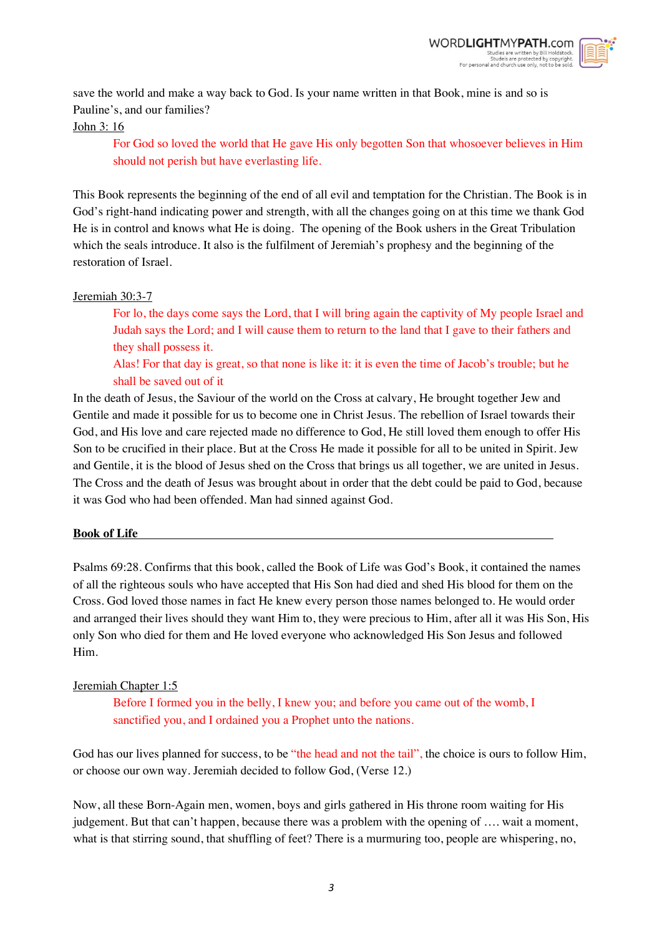

save the world and make a way back to God. Is your name written in that Book, mine is and so is Pauline's, and our families?

# John 3: 16

For God so loved the world that He gave His only begotten Son that whosoever believes in Him should not perish but have everlasting life.

This Book represents the beginning of the end of all evil and temptation for the Christian. The Book is in God's right-hand indicating power and strength, with all the changes going on at this time we thank God He is in control and knows what He is doing. The opening of the Book ushers in the Great Tribulation which the seals introduce. It also is the fulfilment of Jeremiah's prophesy and the beginning of the restoration of Israel.

# Jeremiah 30:3-7

For lo, the days come says the Lord, that I will bring again the captivity of My people Israel and Judah says the Lord; and I will cause them to return to the land that I gave to their fathers and they shall possess it.

Alas! For that day is great, so that none is like it: it is even the time of Jacob's trouble; but he shall be saved out of it

In the death of Jesus, the Saviour of the world on the Cross at calvary, He brought together Jew and Gentile and made it possible for us to become one in Christ Jesus. The rebellion of Israel towards their God, and His love and care rejected made no difference to God, He still loved them enough to offer His Son to be crucified in their place. But at the Cross He made it possible for all to be united in Spirit. Jew and Gentile, it is the blood of Jesus shed on the Cross that brings us all together, we are united in Jesus. The Cross and the death of Jesus was brought about in order that the debt could be paid to God, because it was God who had been offended. Man had sinned against God.

# **Book of Life**

Psalms 69:28. Confirms that this book, called the Book of Life was God's Book, it contained the names of all the righteous souls who have accepted that His Son had died and shed His blood for them on the Cross. God loved those names in fact He knew every person those names belonged to. He would order and arranged their lives should they want Him to, they were precious to Him, after all it was His Son, His only Son who died for them and He loved everyone who acknowledged His Son Jesus and followed Him.

# Jeremiah Chapter 1:5

Before I formed you in the belly, I knew you; and before you came out of the womb, I sanctified you, and I ordained you a Prophet unto the nations.

God has our lives planned for success, to be "the head and not the tail", the choice is ours to follow Him, or choose our own way. Jeremiah decided to follow God, (Verse 12.)

Now, all these Born-Again men, women, boys and girls gathered in His throne room waiting for His judgement. But that can't happen, because there was a problem with the opening of …. wait a moment, what is that stirring sound, that shuffling of feet? There is a murmuring too, people are whispering, no,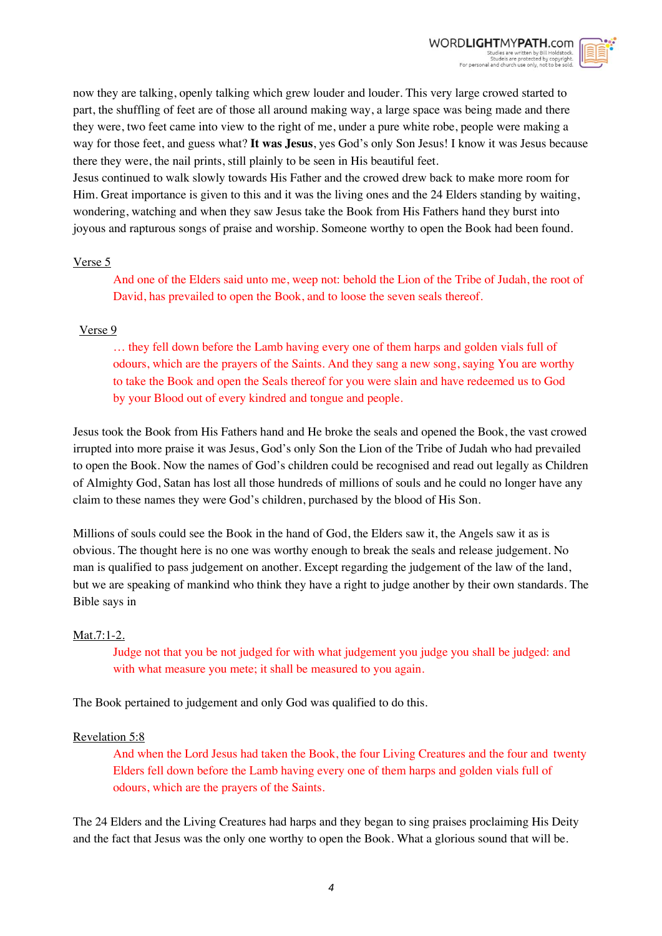

now they are talking, openly talking which grew louder and louder. This very large crowed started to part, the shuffling of feet are of those all around making way, a large space was being made and there they were, two feet came into view to the right of me, under a pure white robe, people were making a way for those feet, and guess what? **It was Jesus**, yes God's only Son Jesus! I know it was Jesus because there they were, the nail prints, still plainly to be seen in His beautiful feet.

Jesus continued to walk slowly towards His Father and the crowed drew back to make more room for Him. Great importance is given to this and it was the living ones and the 24 Elders standing by waiting, wondering, watching and when they saw Jesus take the Book from His Fathers hand they burst into joyous and rapturous songs of praise and worship. Someone worthy to open the Book had been found.

# Verse 5

And one of the Elders said unto me, weep not: behold the Lion of the Tribe of Judah, the root of David, has prevailed to open the Book, and to loose the seven seals thereof.

# Verse 9

… they fell down before the Lamb having every one of them harps and golden vials full of odours, which are the prayers of the Saints. And they sang a new song, saying You are worthy to take the Book and open the Seals thereof for you were slain and have redeemed us to God by your Blood out of every kindred and tongue and people.

Jesus took the Book from His Fathers hand and He broke the seals and opened the Book, the vast crowed irrupted into more praise it was Jesus, God's only Son the Lion of the Tribe of Judah who had prevailed to open the Book. Now the names of God's children could be recognised and read out legally as Children of Almighty God, Satan has lost all those hundreds of millions of souls and he could no longer have any claim to these names they were God's children, purchased by the blood of His Son.

Millions of souls could see the Book in the hand of God, the Elders saw it, the Angels saw it as is obvious. The thought here is no one was worthy enough to break the seals and release judgement. No man is qualified to pass judgement on another. Except regarding the judgement of the law of the land, but we are speaking of mankind who think they have a right to judge another by their own standards. The Bible says in

# Mat.7:1-2.

Judge not that you be not judged for with what judgement you judge you shall be judged: and with what measure you mete; it shall be measured to you again.

The Book pertained to judgement and only God was qualified to do this.

#### Revelation 5:8

And when the Lord Jesus had taken the Book, the four Living Creatures and the four and twenty Elders fell down before the Lamb having every one of them harps and golden vials full of odours, which are the prayers of the Saints.

The 24 Elders and the Living Creatures had harps and they began to sing praises proclaiming His Deity and the fact that Jesus was the only one worthy to open the Book. What a glorious sound that will be.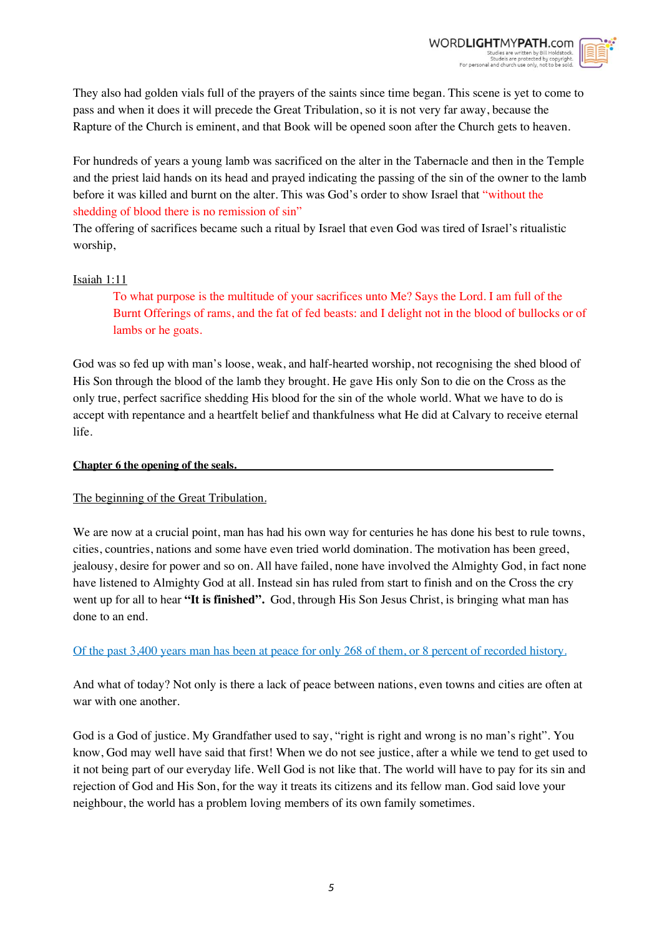



They also had golden vials full of the prayers of the saints since time began. This scene is yet to come to pass and when it does it will precede the Great Tribulation, so it is not very far away, because the Rapture of the Church is eminent, and that Book will be opened soon after the Church gets to heaven.

For hundreds of years a young lamb was sacrificed on the alter in the Tabernacle and then in the Temple and the priest laid hands on its head and prayed indicating the passing of the sin of the owner to the lamb before it was killed and burnt on the alter. This was God's order to show Israel that "without the shedding of blood there is no remission of sin"

The offering of sacrifices became such a ritual by Israel that even God was tired of Israel's ritualistic worship,

### Isaiah 1:11

To what purpose is the multitude of your sacrifices unto Me? Says the Lord. I am full of the Burnt Offerings of rams, and the fat of fed beasts: and I delight not in the blood of bullocks or of lambs or he goats.

God was so fed up with man's loose, weak, and half-hearted worship, not recognising the shed blood of His Son through the blood of the lamb they brought. He gave His only Son to die on the Cross as the only true, perfect sacrifice shedding His blood for the sin of the whole world. What we have to do is accept with repentance and a heartfelt belief and thankfulness what He did at Calvary to receive eternal life.

#### **Chapter 6 the opening of the seals.**

# The beginning of the Great Tribulation.

We are now at a crucial point, man has had his own way for centuries he has done his best to rule towns, cities, countries, nations and some have even tried world domination. The motivation has been greed, jealousy, desire for power and so on. All have failed, none have involved the Almighty God, in fact none have listened to Almighty God at all. Instead sin has ruled from start to finish and on the Cross the cry went up for all to hear **"It is finished".** God, through His Son Jesus Christ, is bringing what man has done to an end.

# Of the past 3,400 years man has been at peace for only 268 of them, or 8 percent of recorded history.

And what of today? Not only is there a lack of peace between nations, even towns and cities are often at war with one another.

God is a God of justice. My Grandfather used to say, "right is right and wrong is no man's right". You know, God may well have said that first! When we do not see justice, after a while we tend to get used to it not being part of our everyday life. Well God is not like that. The world will have to pay for its sin and rejection of God and His Son, for the way it treats its citizens and its fellow man. God said love your neighbour, the world has a problem loving members of its own family sometimes.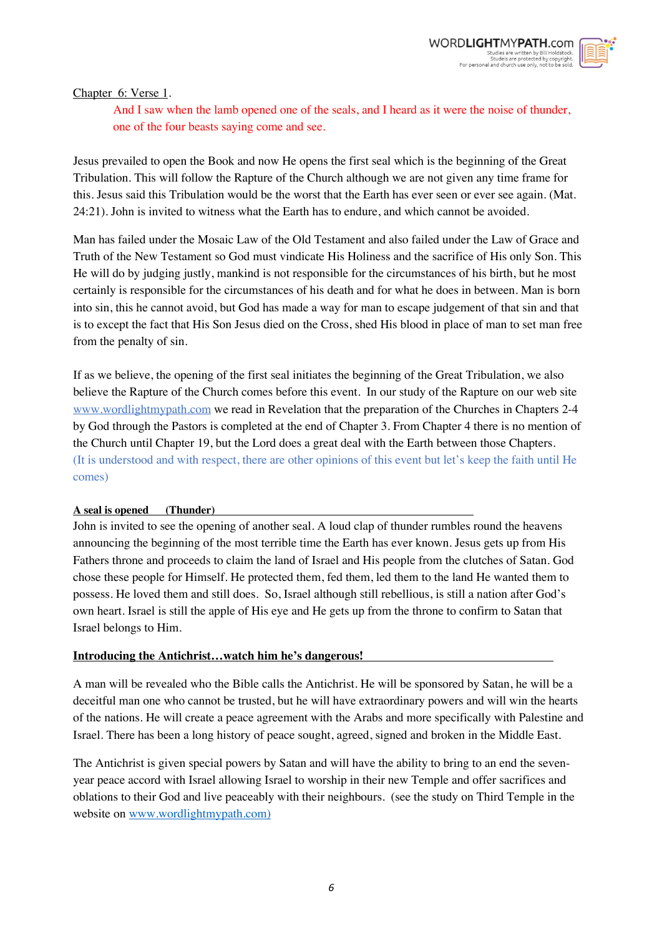

Chapter 6: Verse 1.

And I saw when the lamb opened one of the seals, and I heard as it were the noise of thunder, one of the four beasts saying come and see.

Jesus prevailed to open the Book and now He opens the first seal which is the beginning of the Great Tribulation. This will follow the Rapture of the Church although we are not given any time frame for this. Jesus said this Tribulation would be the worst that the Earth has ever seen or ever see again. (Mat. 24:21). John is invited to witness what the Earth has to endure, and which cannot be avoided.

Man has failed under the Mosaic Law of the Old Testament and also failed under the Law of Grace and Truth of the New Testament so God must vindicate His Holiness and the sacrifice of His only Son. This He will do by judging justly, mankind is not responsible for the circumstances of his birth, but he most certainly is responsible for the circumstances of his death and for what he does in between. Man is born into sin, this he cannot avoid, but God has made a way for man to escape judgement of that sin and that is to except the fact that His Son Jesus died on the Cross, shed His blood in place of man to set man free from the penalty of sin.

If as we believe, the opening of the first seal initiates the beginning of the Great Tribulation, we also believe the Rapture of the Church comes before this event. In our study of the Rapture on our web site www.wordlightmypath.com we read in Revelation that the preparation of the Churches in Chapters 2-4 by God through the Pastors is completed at the end of Chapter 3. From Chapter 4 there is no mention of the Church until Chapter 19, but the Lord does a great deal with the Earth between those Chapters. (It is understood and with respect, there are other opinions of this event but let's keep the faith until He comes)

#### **A seal is opened (Thunder)**

John is invited to see the opening of another seal. A loud clap of thunder rumbles round the heavens announcing the beginning of the most terrible time the Earth has ever known. Jesus gets up from His Fathers throne and proceeds to claim the land of Israel and His people from the clutches of Satan. God chose these people for Himself. He protected them, fed them, led them to the land He wanted them to possess. He loved them and still does. So, Israel although still rebellious, is still a nation after God's own heart. Israel is still the apple of His eye and He gets up from the throne to confirm to Satan that Israel belongs to Him.

# **Introducing the Antichrist…watch him he's dangerous!**

A man will be revealed who the Bible calls the Antichrist. He will be sponsored by Satan, he will be a deceitful man one who cannot be trusted, but he will have extraordinary powers and will win the hearts of the nations. He will create a peace agreement with the Arabs and more specifically with Palestine and Israel. There has been a long history of peace sought, agreed, signed and broken in the Middle East.

The Antichrist is given special powers by Satan and will have the ability to bring to an end the sevenyear peace accord with Israel allowing Israel to worship in their new Temple and offer sacrifices and oblations to their God and live peaceably with their neighbours. (see the study on Third Temple in the website on www.wordlightmypath.com)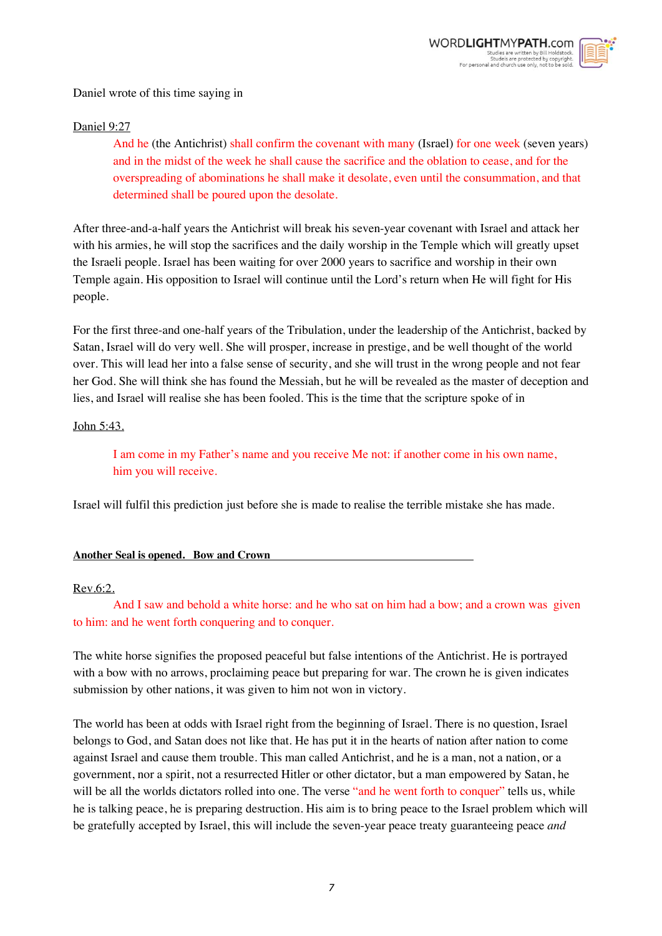

Daniel wrote of this time saying in

## Daniel 9:27

And he (the Antichrist) shall confirm the covenant with many (Israel) for one week (seven years) and in the midst of the week he shall cause the sacrifice and the oblation to cease, and for the overspreading of abominations he shall make it desolate, even until the consummation, and that determined shall be poured upon the desolate.

After three-and-a-half years the Antichrist will break his seven-year covenant with Israel and attack her with his armies, he will stop the sacrifices and the daily worship in the Temple which will greatly upset the Israeli people. Israel has been waiting for over 2000 years to sacrifice and worship in their own Temple again. His opposition to Israel will continue until the Lord's return when He will fight for His people.

For the first three-and one-half years of the Tribulation, under the leadership of the Antichrist, backed by Satan, Israel will do very well. She will prosper, increase in prestige, and be well thought of the world over. This will lead her into a false sense of security, and she will trust in the wrong people and not fear her God. She will think she has found the Messiah, but he will be revealed as the master of deception and lies, and Israel will realise she has been fooled. This is the time that the scripture spoke of in

### John 5:43.

I am come in my Father's name and you receive Me not: if another come in his own name, him you will receive.

Israel will fulfil this prediction just before she is made to realise the terrible mistake she has made.

#### **Another Seal is opened. Bow and Crown**

#### Rev.6:2.

And I saw and behold a white horse: and he who sat on him had a bow; and a crown was given to him: and he went forth conquering and to conquer.

The white horse signifies the proposed peaceful but false intentions of the Antichrist. He is portrayed with a bow with no arrows, proclaiming peace but preparing for war. The crown he is given indicates submission by other nations, it was given to him not won in victory.

The world has been at odds with Israel right from the beginning of Israel. There is no question, Israel belongs to God, and Satan does not like that. He has put it in the hearts of nation after nation to come against Israel and cause them trouble. This man called Antichrist, and he is a man, not a nation, or a government, nor a spirit, not a resurrected Hitler or other dictator, but a man empowered by Satan, he will be all the worlds dictators rolled into one. The verse "and he went forth to conquer" tells us, while he is talking peace, he is preparing destruction. His aim is to bring peace to the Israel problem which will be gratefully accepted by Israel, this will include the seven-year peace treaty guaranteeing peace *and*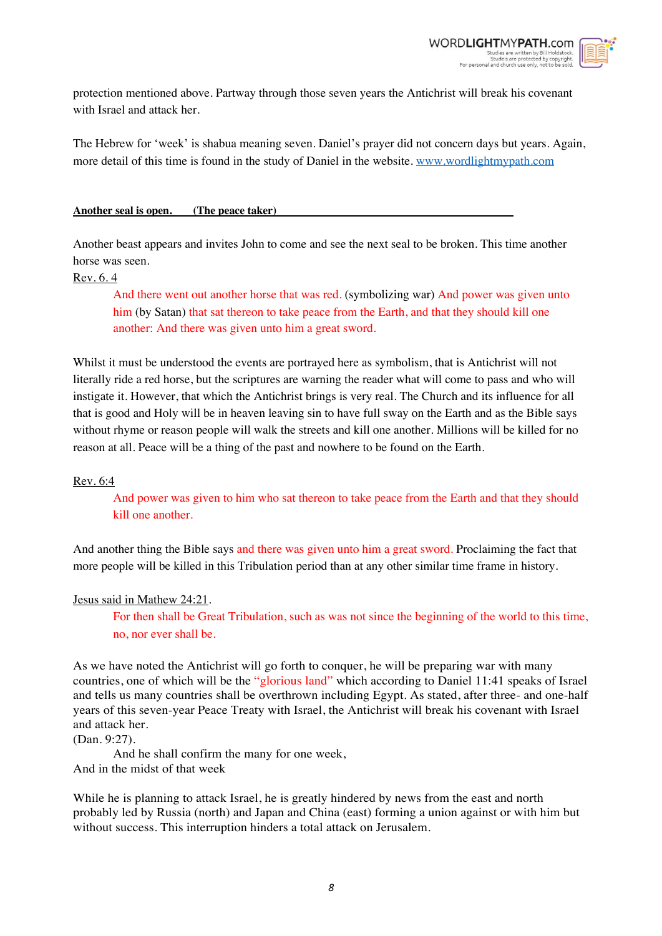

protection mentioned above. Partway through those seven years the Antichrist will break his covenant with Israel and attack her.

The Hebrew for 'week' is shabua meaning seven. Daniel's prayer did not concern days but years. Again, more detail of this time is found in the study of Daniel in the website. www.wordlightmypath.com

#### **Another seal is open. (The peace taker)**

Another beast appears and invites John to come and see the next seal to be broken. This time another horse was seen.

#### Rev. 6. 4

And there went out another horse that was red. (symbolizing war) And power was given unto him (by Satan) that sat thereon to take peace from the Earth, and that they should kill one another: And there was given unto him a great sword.

Whilst it must be understood the events are portrayed here as symbolism, that is Antichrist will not literally ride a red horse, but the scriptures are warning the reader what will come to pass and who will instigate it. However, that which the Antichrist brings is very real. The Church and its influence for all that is good and Holy will be in heaven leaving sin to have full sway on the Earth and as the Bible says without rhyme or reason people will walk the streets and kill one another. Millions will be killed for no reason at all. Peace will be a thing of the past and nowhere to be found on the Earth.

#### Rev. 6:4

And power was given to him who sat thereon to take peace from the Earth and that they should kill one another.

And another thing the Bible says and there was given unto him a great sword. Proclaiming the fact that more people will be killed in this Tribulation period than at any other similar time frame in history.

#### Jesus said in Mathew 24:21.

For then shall be Great Tribulation, such as was not since the beginning of the world to this time, no, nor ever shall be.

As we have noted the Antichrist will go forth to conquer, he will be preparing war with many countries, one of which will be the "glorious land" which according to Daniel 11:41 speaks of Israel and tells us many countries shall be overthrown including Egypt. As stated, after three- and one-half years of this seven-year Peace Treaty with Israel, the Antichrist will break his covenant with Israel and attack her.

(Dan. 9:27).

And he shall confirm the many for one week, And in the midst of that week

While he is planning to attack Israel, he is greatly hindered by news from the east and north probably led by Russia (north) and Japan and China (east) forming a union against or with him but without success. This interruption hinders a total attack on Jerusalem.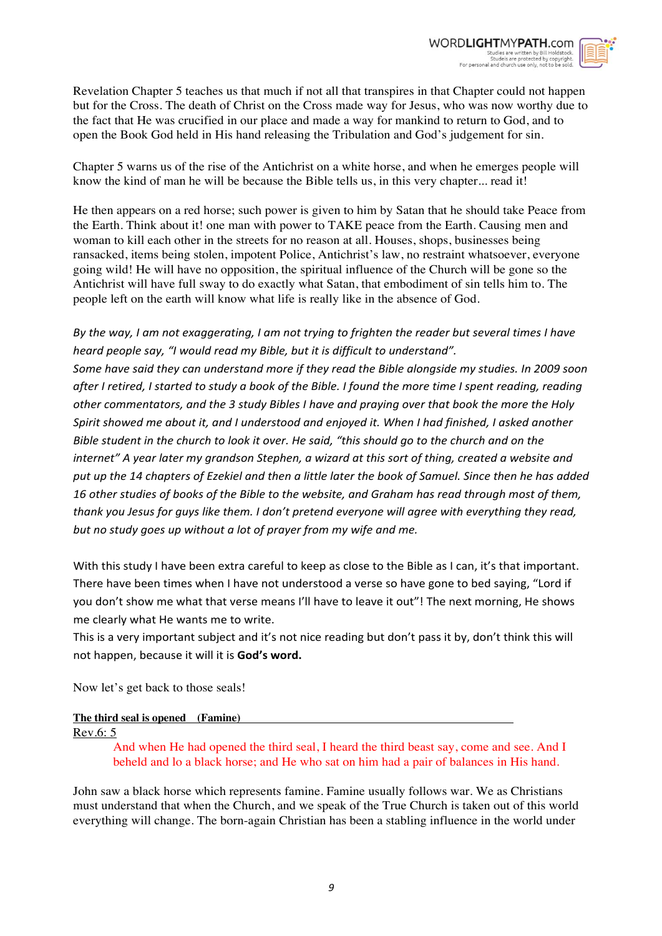

Revelation Chapter 5 teaches us that much if not all that transpires in that Chapter could not happen but for the Cross. The death of Christ on the Cross made way for Jesus, who was now worthy due to the fact that He was crucified in our place and made a way for mankind to return to God, and to open the Book God held in His hand releasing the Tribulation and God's judgement for sin.

Chapter 5 warns us of the rise of the Antichrist on a white horse, and when he emerges people will know the kind of man he will be because the Bible tells us, in this very chapter... read it!

He then appears on a red horse; such power is given to him by Satan that he should take Peace from the Earth. Think about it! one man with power to TAKE peace from the Earth. Causing men and woman to kill each other in the streets for no reason at all. Houses, shops, businesses being ransacked, items being stolen, impotent Police, Antichrist's law, no restraint whatsoever, everyone going wild! He will have no opposition, the spiritual influence of the Church will be gone so the Antichrist will have full sway to do exactly what Satan, that embodiment of sin tells him to. The people left on the earth will know what life is really like in the absence of God.

*By the way, I am not exaggerating, I am not trying to frighten the reader but several times I have heard people say, "I would read my Bible, but it is difficult to understand". Some have said they can understand more if they read the Bible alongside my studies. In 2009 soon after I retired, I started to study a book of the Bible. I found the more time I spent reading, reading other commentators, and the 3 study Bibles I have and praying over that book the more the Holy Spirit showed me about it, and I understood and enjoyed it. When I had finished, I asked another Bible student in the church to look it over. He said, "this should go to the church and on the internet" A year later my grandson Stephen, a wizard at this sort of thing, created a website and put up the 14 chapters of Ezekiel and then a little later the book of Samuel. Since then he has added 16 other studies of books of the Bible to the website, and Graham has read through most of them, thank you Jesus for guys like them. I don't pretend everyone will agree with everything they read, but no study goes up without a lot of prayer from my wife and me.*

With this study I have been extra careful to keep as close to the Bible as I can, it's that important. There have been times when I have not understood a verse so have gone to bed saying, "Lord if you don't show me what that verse means I'll have to leave it out"! The next morning, He shows me clearly what He wants me to write.

This is a very important subject and it's not nice reading but don't pass it by, don't think this will not happen, because it will it is **God's word.**

Now let's get back to those seals!

# **The third seal is opened (Famine)**

Rev.6: 5

And when He had opened the third seal, I heard the third beast say, come and see. And I beheld and lo a black horse; and He who sat on him had a pair of balances in His hand.

John saw a black horse which represents famine. Famine usually follows war. We as Christians must understand that when the Church, and we speak of the True Church is taken out of this world everything will change. The born-again Christian has been a stabling influence in the world under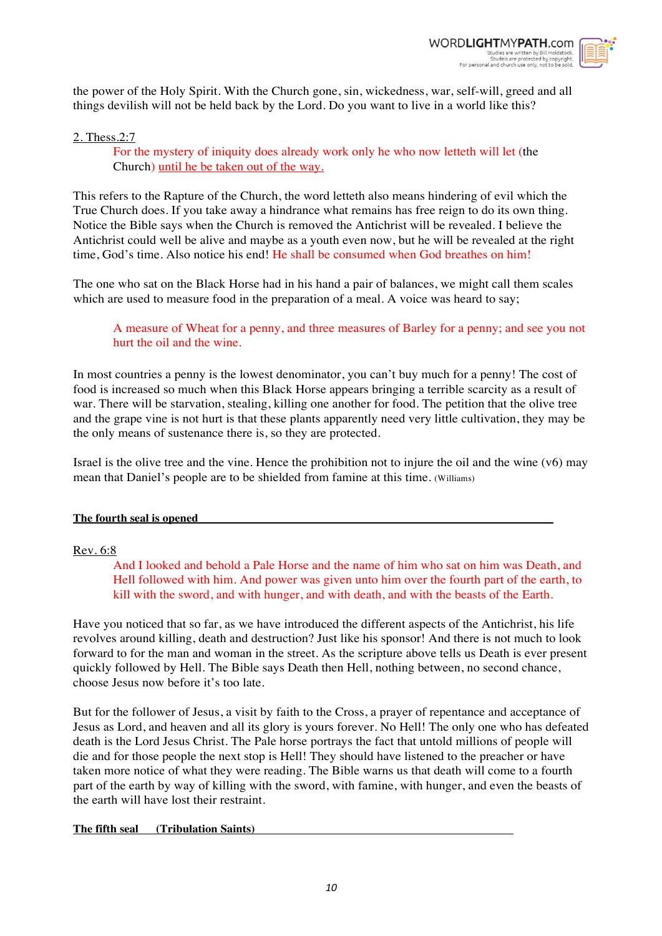

the power of the Holy Spirit. With the Church gone, sin, wickedness, war, self-will, greed and all things devilish will not be held back by the Lord. Do you want to live in a world like this?

# 2. Thess.2:7

For the mystery of iniquity does already work only he who now letteth will let (the Church) until he be taken out of the way.

This refers to the Rapture of the Church, the word letteth also means hindering of evil which the True Church does. If you take away a hindrance what remains has free reign to do its own thing. Notice the Bible says when the Church is removed the Antichrist will be revealed. I believe the Antichrist could well be alive and maybe as a youth even now, but he will be revealed at the right time, God's time. Also notice his end! He shall be consumed when God breathes on him!

The one who sat on the Black Horse had in his hand a pair of balances, we might call them scales which are used to measure food in the preparation of a meal. A voice was heard to say;

A measure of Wheat for a penny, and three measures of Barley for a penny; and see you not hurt the oil and the wine.

In most countries a penny is the lowest denominator, you can't buy much for a penny! The cost of food is increased so much when this Black Horse appears bringing a terrible scarcity as a result of war. There will be starvation, stealing, killing one another for food. The petition that the olive tree and the grape vine is not hurt is that these plants apparently need very little cultivation, they may be the only means of sustenance there is, so they are protected.

Israel is the olive tree and the vine. Hence the prohibition not to injure the oil and the wine (v6) may mean that Daniel's people are to be shielded from famine at this time. (Williams)

#### **The fourth seal is opened**

# Rev. 6:8

And I looked and behold a Pale Horse and the name of him who sat on him was Death, and Hell followed with him. And power was given unto him over the fourth part of the earth, to kill with the sword, and with hunger, and with death, and with the beasts of the Earth.

Have you noticed that so far, as we have introduced the different aspects of the Antichrist, his life revolves around killing, death and destruction? Just like his sponsor! And there is not much to look forward to for the man and woman in the street. As the scripture above tells us Death is ever present quickly followed by Hell. The Bible says Death then Hell, nothing between, no second chance, choose Jesus now before it's too late.

But for the follower of Jesus, a visit by faith to the Cross, a prayer of repentance and acceptance of Jesus as Lord, and heaven and all its glory is yours forever. No Hell! The only one who has defeated death is the Lord Jesus Christ. The Pale horse portrays the fact that untold millions of people will die and for those people the next stop is Hell! They should have listened to the preacher or have taken more notice of what they were reading. The Bible warns us that death will come to a fourth part of the earth by way of killing with the sword, with famine, with hunger, and even the beasts of the earth will have lost their restraint.

#### **The fifth seal (Tribulation Saints)**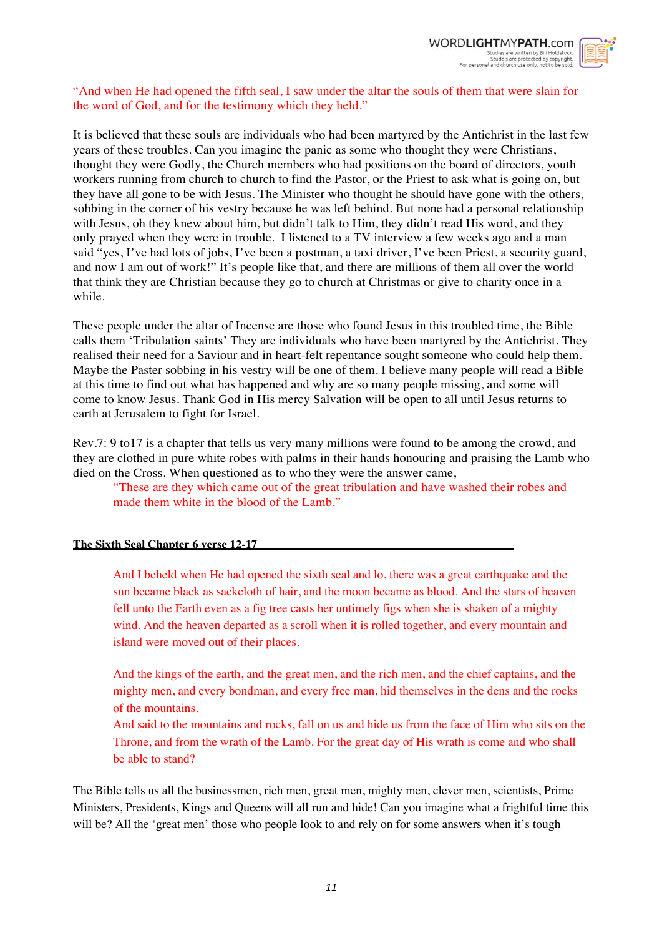

# "And when He had opened the fifth seal, I saw under the altar the souls of them that were slain for the word of God, and for the testimony which they held."

It is believed that these souls are individuals who had been martyred by the Antichrist in the last few years of these troubles. Can you imagine the panic as some who thought they were Christians, thought they were Godly, the Church members who had positions on the board of directors, youth workers running from church to church to find the Pastor, or the Priest to ask what is going on, but they have all gone to be with Jesus. The Minister who thought he should have gone with the others, sobbing in the corner of his vestry because he was left behind. But none had a personal relationship with Jesus, oh they knew about him, but didn't talk to Him, they didn't read His word, and they only prayed when they were in trouble. I listened to a TV interview a few weeks ago and a man said "yes, I've had lots of jobs, I've been a postman, a taxi driver, I've been Priest, a security guard, and now I am out of work!" It's people like that, and there are millions of them all over the world that think they are Christian because they go to church at Christmas or give to charity once in a while.

These people under the altar of Incense are those who found Jesus in this troubled time, the Bible calls them 'Tribulation saints' They are individuals who have been martyred by the Antichrist. They realised their need for a Saviour and in heart-felt repentance sought someone who could help them. Maybe the Paster sobbing in his vestry will be one of them. I believe many people will read a Bible at this time to find out what has happened and why are so many people missing, and some will come to know Jesus. Thank God in His mercy Salvation will be open to all until Jesus returns to earth at Jerusalem to fight for Israel.

Rev.7: 9 to17 is a chapter that tells us very many millions were found to be among the crowd, and they are clothed in pure white robes with palms in their hands honouring and praising the Lamb who died on the Cross. When questioned as to who they were the answer came,

"These are they which came out of the great tribulation and have washed their robes and made them white in the blood of the Lamb."

# **The Sixth Seal Chapter 6 verse 12-17**

And I beheld when He had opened the sixth seal and lo, there was a great earthquake and the sun became black as sackcloth of hair, and the moon became as blood. And the stars of heaven fell unto the Earth even as a fig tree casts her untimely figs when she is shaken of a mighty wind. And the heaven departed as a scroll when it is rolled together, and every mountain and island were moved out of their places.

And the kings of the earth, and the great men, and the rich men, and the chief captains, and the mighty men, and every bondman, and every free man, hid themselves in the dens and the rocks of the mountains.

And said to the mountains and rocks, fall on us and hide us from the face of Him who sits on the Throne, and from the wrath of the Lamb. For the great day of His wrath is come and who shall be able to stand?

The Bible tells us all the businessmen, rich men, great men, mighty men, clever men, scientists, Prime Ministers, Presidents, Kings and Queens will all run and hide! Can you imagine what a frightful time this will be? All the 'great men' those who people look to and rely on for some answers when it's tough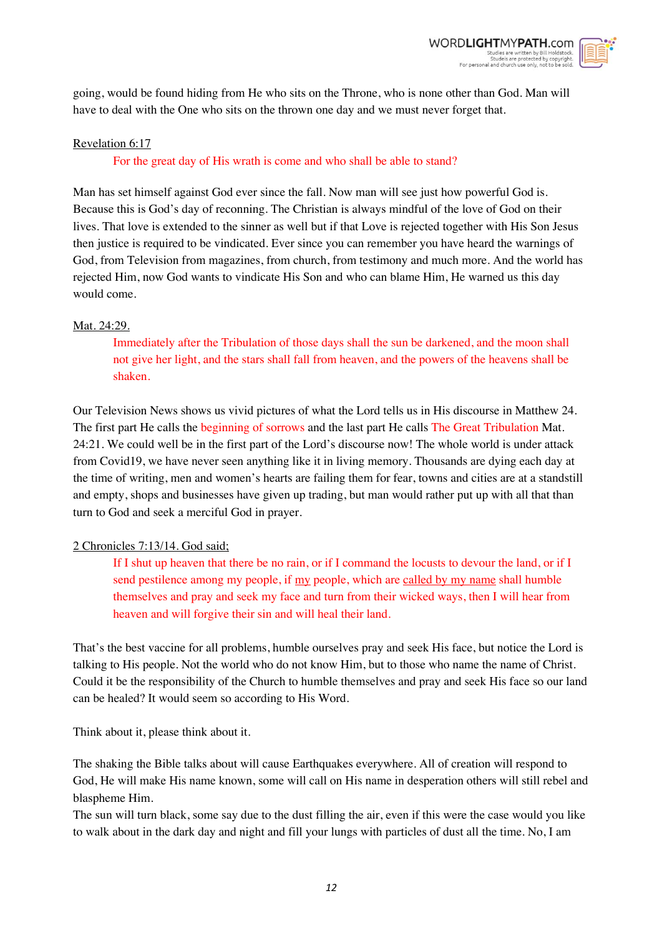

going, would be found hiding from He who sits on the Throne, who is none other than God. Man will have to deal with the One who sits on the thrown one day and we must never forget that.

# Revelation 6:17

# For the great day of His wrath is come and who shall be able to stand?

Man has set himself against God ever since the fall. Now man will see just how powerful God is. Because this is God's day of reconning. The Christian is always mindful of the love of God on their lives. That love is extended to the sinner as well but if that Love is rejected together with His Son Jesus then justice is required to be vindicated. Ever since you can remember you have heard the warnings of God, from Television from magazines, from church, from testimony and much more. And the world has rejected Him, now God wants to vindicate His Son and who can blame Him, He warned us this day would come.

# Mat. 24:29.

Immediately after the Tribulation of those days shall the sun be darkened, and the moon shall not give her light, and the stars shall fall from heaven, and the powers of the heavens shall be shaken.

Our Television News shows us vivid pictures of what the Lord tells us in His discourse in Matthew 24. The first part He calls the beginning of sorrows and the last part He calls The Great Tribulation Mat. 24:21. We could well be in the first part of the Lord's discourse now! The whole world is under attack from Covid19, we have never seen anything like it in living memory. Thousands are dying each day at the time of writing, men and women's hearts are failing them for fear, towns and cities are at a standstill and empty, shops and businesses have given up trading, but man would rather put up with all that than turn to God and seek a merciful God in prayer.

# 2 Chronicles 7:13/14. God said;

If I shut up heaven that there be no rain, or if I command the locusts to devour the land, or if I send pestilence among my people, if my people, which are called by my name shall humble themselves and pray and seek my face and turn from their wicked ways, then I will hear from heaven and will forgive their sin and will heal their land.

That's the best vaccine for all problems, humble ourselves pray and seek His face, but notice the Lord is talking to His people. Not the world who do not know Him, but to those who name the name of Christ. Could it be the responsibility of the Church to humble themselves and pray and seek His face so our land can be healed? It would seem so according to His Word.

Think about it, please think about it.

The shaking the Bible talks about will cause Earthquakes everywhere. All of creation will respond to God, He will make His name known, some will call on His name in desperation others will still rebel and blaspheme Him.

The sun will turn black, some say due to the dust filling the air, even if this were the case would you like to walk about in the dark day and night and fill your lungs with particles of dust all the time. No, I am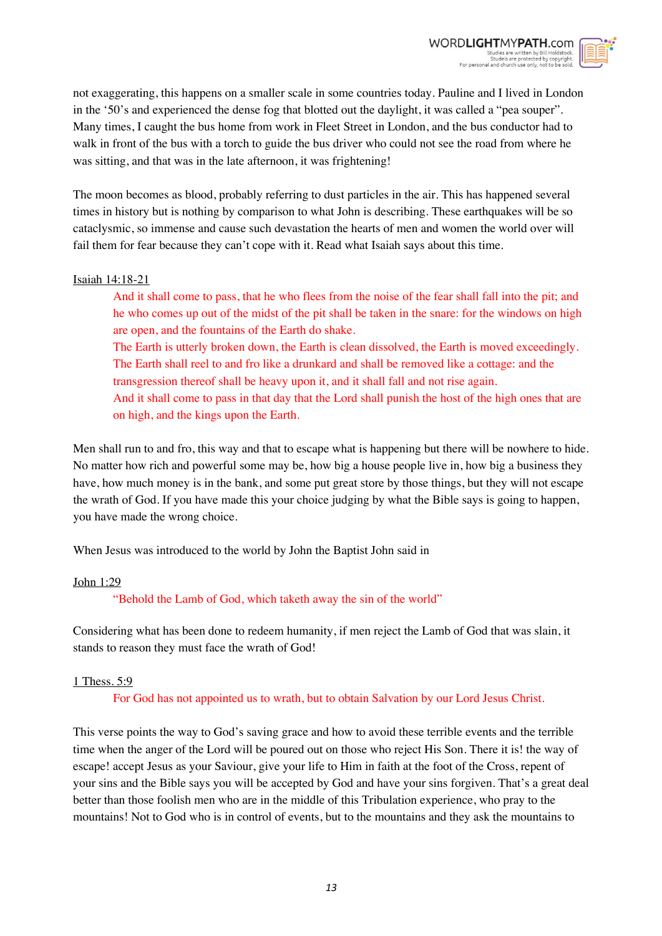

not exaggerating, this happens on a smaller scale in some countries today. Pauline and I lived in London in the '50's and experienced the dense fog that blotted out the daylight, it was called a "pea souper". Many times, I caught the bus home from work in Fleet Street in London, and the bus conductor had to walk in front of the bus with a torch to guide the bus driver who could not see the road from where he was sitting, and that was in the late afternoon, it was frightening!

The moon becomes as blood, probably referring to dust particles in the air. This has happened several times in history but is nothing by comparison to what John is describing. These earthquakes will be so cataclysmic, so immense and cause such devastation the hearts of men and women the world over will fail them for fear because they can't cope with it. Read what Isaiah says about this time.

### Isaiah 14:18-21

And it shall come to pass, that he who flees from the noise of the fear shall fall into the pit; and he who comes up out of the midst of the pit shall be taken in the snare: for the windows on high are open, and the fountains of the Earth do shake.

The Earth is utterly broken down, the Earth is clean dissolved, the Earth is moved exceedingly. The Earth shall reel to and fro like a drunkard and shall be removed like a cottage: and the transgression thereof shall be heavy upon it, and it shall fall and not rise again. And it shall come to pass in that day that the Lord shall punish the host of the high ones that are on high, and the kings upon the Earth.

Men shall run to and fro, this way and that to escape what is happening but there will be nowhere to hide. No matter how rich and powerful some may be, how big a house people live in, how big a business they have, how much money is in the bank, and some put great store by those things, but they will not escape the wrath of God. If you have made this your choice judging by what the Bible says is going to happen, you have made the wrong choice.

When Jesus was introduced to the world by John the Baptist John said in

# John 1:29

"Behold the Lamb of God, which taketh away the sin of the world"

Considering what has been done to redeem humanity, if men reject the Lamb of God that was slain, it stands to reason they must face the wrath of God!

# 1 Thess. 5:9

For God has not appointed us to wrath, but to obtain Salvation by our Lord Jesus Christ.

This verse points the way to God's saving grace and how to avoid these terrible events and the terrible time when the anger of the Lord will be poured out on those who reject His Son. There it is! the way of escape! accept Jesus as your Saviour, give your life to Him in faith at the foot of the Cross, repent of your sins and the Bible says you will be accepted by God and have your sins forgiven. That's a great deal better than those foolish men who are in the middle of this Tribulation experience, who pray to the mountains! Not to God who is in control of events, but to the mountains and they ask the mountains to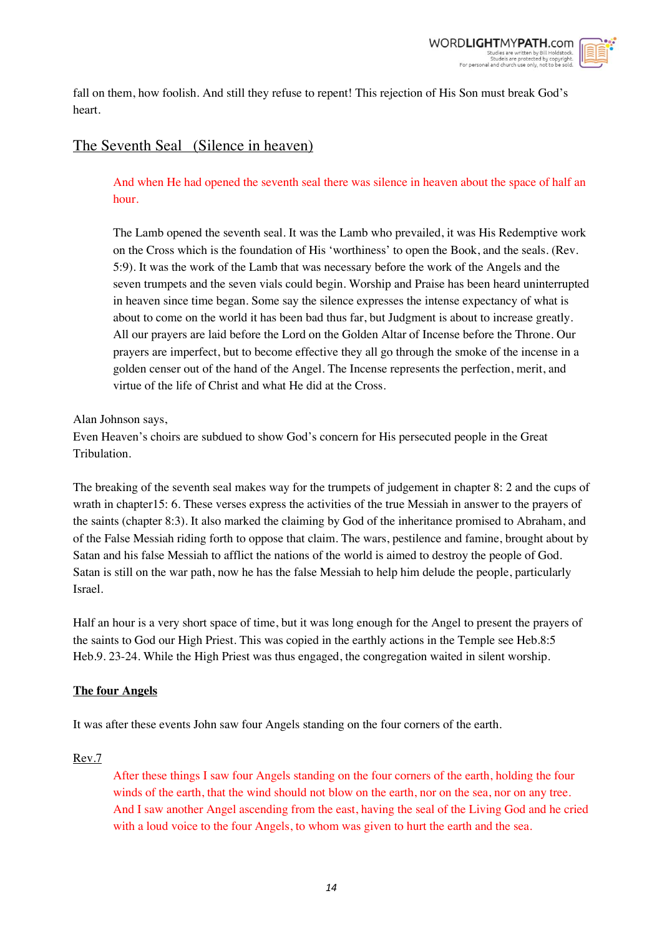

fall on them, how foolish. And still they refuse to repent! This rejection of His Son must break God's heart.

# The Seventh Seal (Silence in heaven)

And when He had opened the seventh seal there was silence in heaven about the space of half an hour.

The Lamb opened the seventh seal. It was the Lamb who prevailed, it was His Redemptive work on the Cross which is the foundation of His 'worthiness' to open the Book, and the seals. (Rev. 5:9). It was the work of the Lamb that was necessary before the work of the Angels and the seven trumpets and the seven vials could begin. Worship and Praise has been heard uninterrupted in heaven since time began. Some say the silence expresses the intense expectancy of what is about to come on the world it has been bad thus far, but Judgment is about to increase greatly. All our prayers are laid before the Lord on the Golden Altar of Incense before the Throne. Our prayers are imperfect, but to become effective they all go through the smoke of the incense in a golden censer out of the hand of the Angel. The Incense represents the perfection, merit, and virtue of the life of Christ and what He did at the Cross.

Alan Johnson says,

Even Heaven's choirs are subdued to show God's concern for His persecuted people in the Great Tribulation.

The breaking of the seventh seal makes way for the trumpets of judgement in chapter 8: 2 and the cups of wrath in chapter15: 6. These verses express the activities of the true Messiah in answer to the prayers of the saints (chapter 8:3). It also marked the claiming by God of the inheritance promised to Abraham, and of the False Messiah riding forth to oppose that claim. The wars, pestilence and famine, brought about by Satan and his false Messiah to afflict the nations of the world is aimed to destroy the people of God. Satan is still on the war path, now he has the false Messiah to help him delude the people, particularly Israel.

Half an hour is a very short space of time, but it was long enough for the Angel to present the prayers of the saints to God our High Priest. This was copied in the earthly actions in the Temple see Heb.8:5 Heb.9. 23-24. While the High Priest was thus engaged, the congregation waited in silent worship.

# **The four Angels**

It was after these events John saw four Angels standing on the four corners of the earth.

Rev.7

After these things I saw four Angels standing on the four corners of the earth, holding the four winds of the earth, that the wind should not blow on the earth, nor on the sea, nor on any tree. And I saw another Angel ascending from the east, having the seal of the Living God and he cried with a loud voice to the four Angels, to whom was given to hurt the earth and the sea.